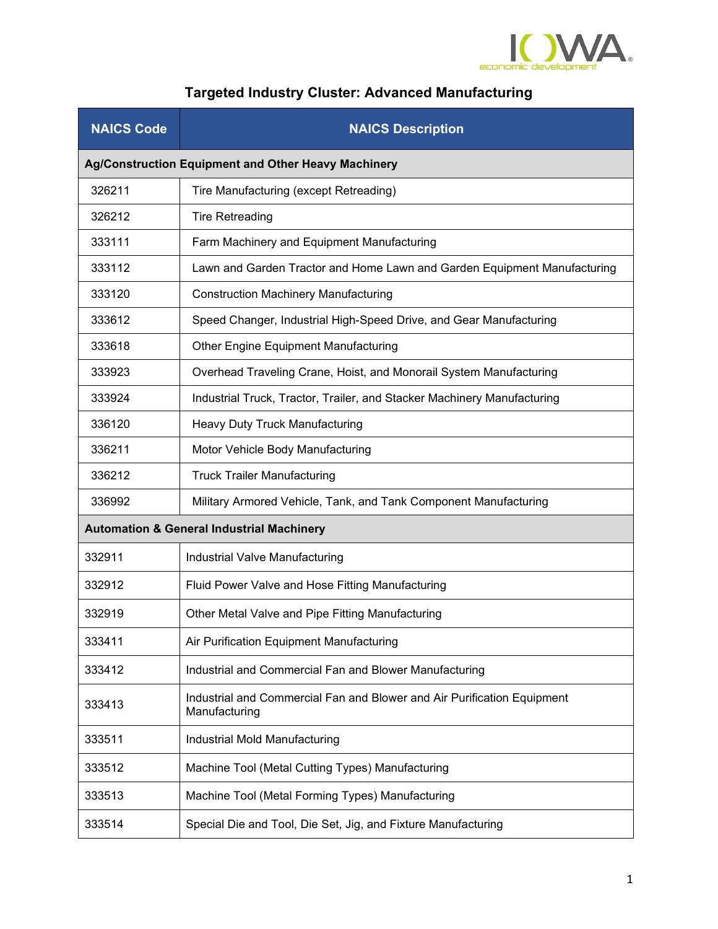

## **Targeted Industry Cluster: Advanced Manufacturing**

| <b>NAICS Code</b>                                    | <b>NAICS Description</b>                                                                 |  |
|------------------------------------------------------|------------------------------------------------------------------------------------------|--|
|                                                      | Ag/Construction Equipment and Other Heavy Machinery                                      |  |
| 326211                                               | Tire Manufacturing (except Retreading)                                                   |  |
| 326212                                               | <b>Tire Retreading</b>                                                                   |  |
| 333111                                               | Farm Machinery and Equipment Manufacturing                                               |  |
| 333112                                               | Lawn and Garden Tractor and Home Lawn and Garden Equipment Manufacturing                 |  |
| 333120                                               | <b>Construction Machinery Manufacturing</b>                                              |  |
| 333612                                               | Speed Changer, Industrial High-Speed Drive, and Gear Manufacturing                       |  |
| 333618                                               | Other Engine Equipment Manufacturing                                                     |  |
| 333923                                               | Overhead Traveling Crane, Hoist, and Monorail System Manufacturing                       |  |
| 333924                                               | Industrial Truck, Tractor, Trailer, and Stacker Machinery Manufacturing                  |  |
| 336120                                               | <b>Heavy Duty Truck Manufacturing</b>                                                    |  |
| 336211                                               | Motor Vehicle Body Manufacturing                                                         |  |
| 336212                                               | <b>Truck Trailer Manufacturing</b>                                                       |  |
| 336992                                               | Military Armored Vehicle, Tank, and Tank Component Manufacturing                         |  |
| <b>Automation &amp; General Industrial Machinery</b> |                                                                                          |  |
| 332911                                               | Industrial Valve Manufacturing                                                           |  |
| 332912                                               | Fluid Power Valve and Hose Fitting Manufacturing                                         |  |
| 332919                                               | Other Metal Valve and Pipe Fitting Manufacturing                                         |  |
| 333411                                               | Air Purification Equipment Manufacturing                                                 |  |
| 333412                                               | Industrial and Commercial Fan and Blower Manufacturing                                   |  |
| 333413                                               | Industrial and Commercial Fan and Blower and Air Purification Equipment<br>Manufacturing |  |
| 333511                                               | Industrial Mold Manufacturing                                                            |  |
| 333512                                               | Machine Tool (Metal Cutting Types) Manufacturing                                         |  |
| 333513                                               | Machine Tool (Metal Forming Types) Manufacturing                                         |  |
| 333514                                               | Special Die and Tool, Die Set, Jig, and Fixture Manufacturing                            |  |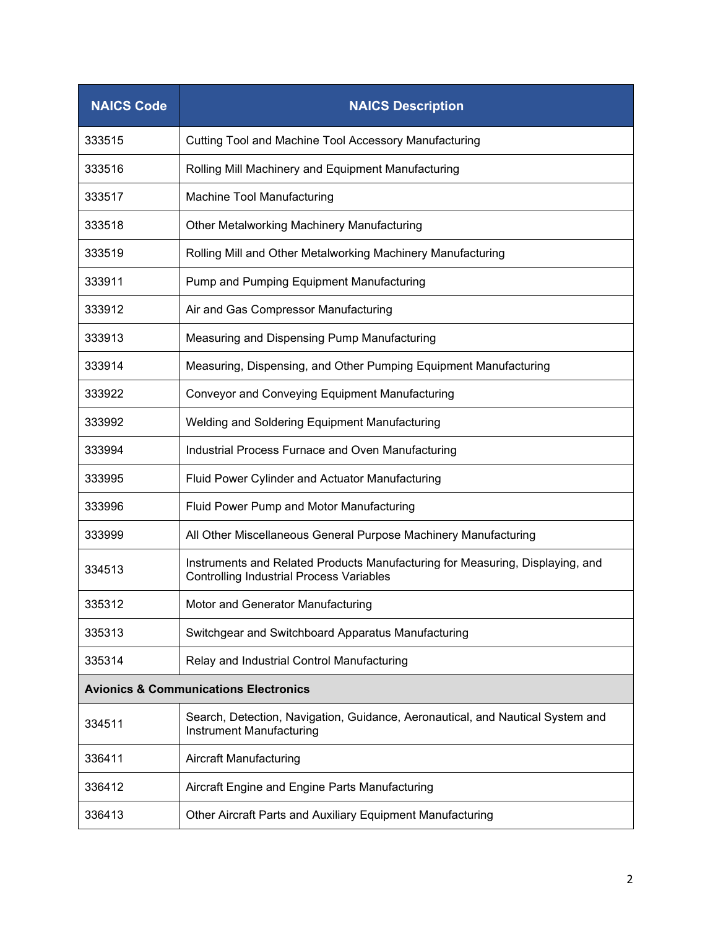| <b>NAICS Code</b>                                | <b>NAICS Description</b>                                                                                                         |
|--------------------------------------------------|----------------------------------------------------------------------------------------------------------------------------------|
| 333515                                           | <b>Cutting Tool and Machine Tool Accessory Manufacturing</b>                                                                     |
| 333516                                           | Rolling Mill Machinery and Equipment Manufacturing                                                                               |
| 333517                                           | Machine Tool Manufacturing                                                                                                       |
| 333518                                           | Other Metalworking Machinery Manufacturing                                                                                       |
| 333519                                           | Rolling Mill and Other Metalworking Machinery Manufacturing                                                                      |
| 333911                                           | Pump and Pumping Equipment Manufacturing                                                                                         |
| 333912                                           | Air and Gas Compressor Manufacturing                                                                                             |
| 333913                                           | Measuring and Dispensing Pump Manufacturing                                                                                      |
| 333914                                           | Measuring, Dispensing, and Other Pumping Equipment Manufacturing                                                                 |
| 333922                                           | <b>Conveyor and Conveying Equipment Manufacturing</b>                                                                            |
| 333992                                           | Welding and Soldering Equipment Manufacturing                                                                                    |
| 333994                                           | Industrial Process Furnace and Oven Manufacturing                                                                                |
| 333995                                           | Fluid Power Cylinder and Actuator Manufacturing                                                                                  |
| 333996                                           | Fluid Power Pump and Motor Manufacturing                                                                                         |
| 333999                                           | All Other Miscellaneous General Purpose Machinery Manufacturing                                                                  |
| 334513                                           | Instruments and Related Products Manufacturing for Measuring, Displaying, and<br><b>Controlling Industrial Process Variables</b> |
| 335312                                           | Motor and Generator Manufacturing                                                                                                |
| 335313                                           | Switchgear and Switchboard Apparatus Manufacturing                                                                               |
| 335314                                           | Relay and Industrial Control Manufacturing                                                                                       |
| <b>Avionics &amp; Communications Electronics</b> |                                                                                                                                  |
| 334511                                           | Search, Detection, Navigation, Guidance, Aeronautical, and Nautical System and<br>Instrument Manufacturing                       |
| 336411                                           | Aircraft Manufacturing                                                                                                           |
| 336412                                           | Aircraft Engine and Engine Parts Manufacturing                                                                                   |
| 336413                                           | Other Aircraft Parts and Auxiliary Equipment Manufacturing                                                                       |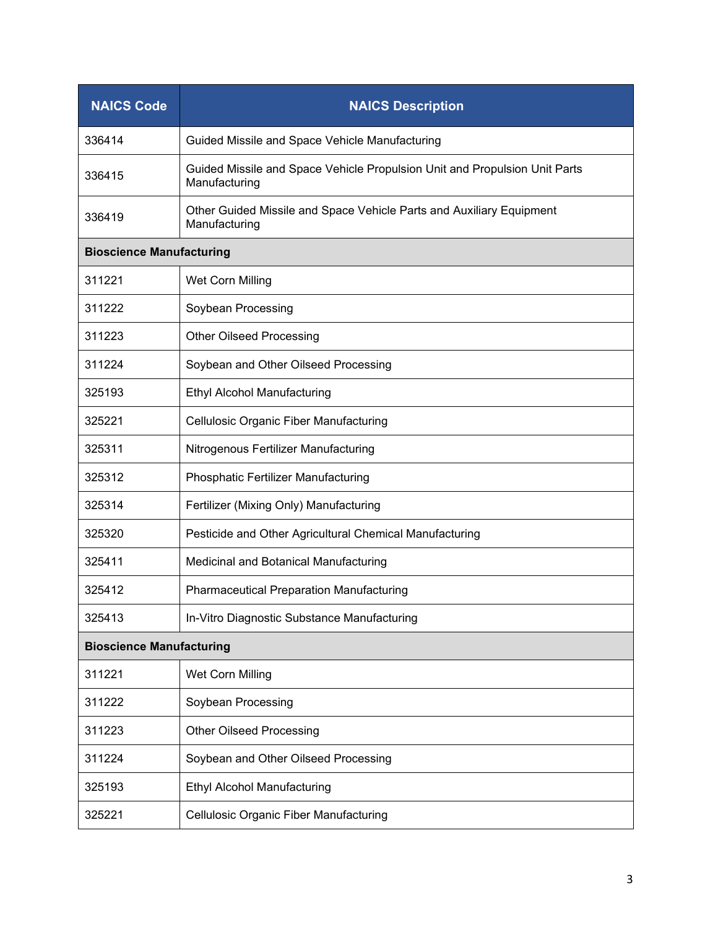| <b>NAICS Code</b>               | <b>NAICS Description</b>                                                                    |
|---------------------------------|---------------------------------------------------------------------------------------------|
| 336414                          | Guided Missile and Space Vehicle Manufacturing                                              |
| 336415                          | Guided Missile and Space Vehicle Propulsion Unit and Propulsion Unit Parts<br>Manufacturing |
| 336419                          | Other Guided Missile and Space Vehicle Parts and Auxiliary Equipment<br>Manufacturing       |
| <b>Bioscience Manufacturing</b> |                                                                                             |
| 311221                          | Wet Corn Milling                                                                            |
| 311222                          | Soybean Processing                                                                          |
| 311223                          | <b>Other Oilseed Processing</b>                                                             |
| 311224                          | Soybean and Other Oilseed Processing                                                        |
| 325193                          | <b>Ethyl Alcohol Manufacturing</b>                                                          |
| 325221                          | Cellulosic Organic Fiber Manufacturing                                                      |
| 325311                          | Nitrogenous Fertilizer Manufacturing                                                        |
| 325312                          | Phosphatic Fertilizer Manufacturing                                                         |
| 325314                          | Fertilizer (Mixing Only) Manufacturing                                                      |
| 325320                          | Pesticide and Other Agricultural Chemical Manufacturing                                     |
| 325411                          | Medicinal and Botanical Manufacturing                                                       |
| 325412                          | <b>Pharmaceutical Preparation Manufacturing</b>                                             |
| 325413                          | In-Vitro Diagnostic Substance Manufacturing                                                 |
| <b>Bioscience Manufacturing</b> |                                                                                             |
| 311221                          | Wet Corn Milling                                                                            |
| 311222                          | Soybean Processing                                                                          |
| 311223                          | <b>Other Oilseed Processing</b>                                                             |
| 311224                          | Soybean and Other Oilseed Processing                                                        |
| 325193                          | <b>Ethyl Alcohol Manufacturing</b>                                                          |
| 325221                          | Cellulosic Organic Fiber Manufacturing                                                      |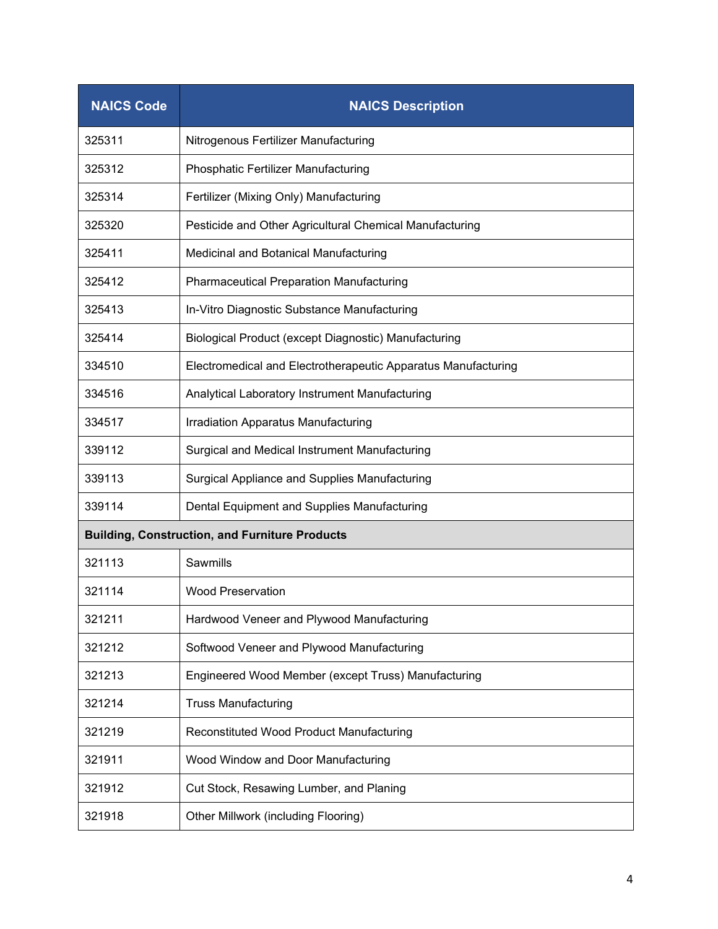| <b>NAICS Code</b>                                     | <b>NAICS Description</b>                                      |  |
|-------------------------------------------------------|---------------------------------------------------------------|--|
| 325311                                                | Nitrogenous Fertilizer Manufacturing                          |  |
| 325312                                                | Phosphatic Fertilizer Manufacturing                           |  |
| 325314                                                | Fertilizer (Mixing Only) Manufacturing                        |  |
| 325320                                                | Pesticide and Other Agricultural Chemical Manufacturing       |  |
| 325411                                                | Medicinal and Botanical Manufacturing                         |  |
| 325412                                                | <b>Pharmaceutical Preparation Manufacturing</b>               |  |
| 325413                                                | In-Vitro Diagnostic Substance Manufacturing                   |  |
| 325414                                                | Biological Product (except Diagnostic) Manufacturing          |  |
| 334510                                                | Electromedical and Electrotherapeutic Apparatus Manufacturing |  |
| 334516                                                | Analytical Laboratory Instrument Manufacturing                |  |
| 334517                                                | Irradiation Apparatus Manufacturing                           |  |
| 339112                                                | Surgical and Medical Instrument Manufacturing                 |  |
| 339113                                                | Surgical Appliance and Supplies Manufacturing                 |  |
| 339114                                                | Dental Equipment and Supplies Manufacturing                   |  |
| <b>Building, Construction, and Furniture Products</b> |                                                               |  |
| 321113                                                | <b>Sawmills</b>                                               |  |
| 321114                                                | <b>Wood Preservation</b>                                      |  |
| 321211                                                | Hardwood Veneer and Plywood Manufacturing                     |  |
| 321212                                                | Softwood Veneer and Plywood Manufacturing                     |  |
| 321213                                                | Engineered Wood Member (except Truss) Manufacturing           |  |
| 321214                                                | <b>Truss Manufacturing</b>                                    |  |
| 321219                                                | Reconstituted Wood Product Manufacturing                      |  |
| 321911                                                | Wood Window and Door Manufacturing                            |  |
| 321912                                                | Cut Stock, Resawing Lumber, and Planing                       |  |
| 321918                                                | Other Millwork (including Flooring)                           |  |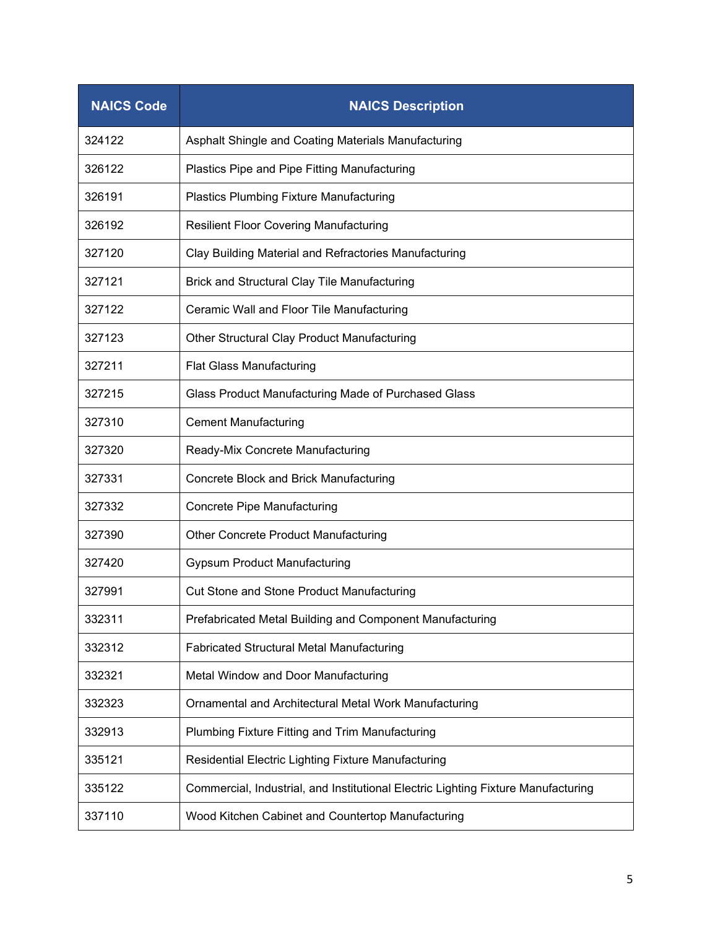| <b>NAICS Code</b> | <b>NAICS Description</b>                                                          |
|-------------------|-----------------------------------------------------------------------------------|
| 324122            | Asphalt Shingle and Coating Materials Manufacturing                               |
| 326122            | Plastics Pipe and Pipe Fitting Manufacturing                                      |
| 326191            | <b>Plastics Plumbing Fixture Manufacturing</b>                                    |
| 326192            | <b>Resilient Floor Covering Manufacturing</b>                                     |
| 327120            | Clay Building Material and Refractories Manufacturing                             |
| 327121            | Brick and Structural Clay Tile Manufacturing                                      |
| 327122            | Ceramic Wall and Floor Tile Manufacturing                                         |
| 327123            | Other Structural Clay Product Manufacturing                                       |
| 327211            | <b>Flat Glass Manufacturing</b>                                                   |
| 327215            | Glass Product Manufacturing Made of Purchased Glass                               |
| 327310            | <b>Cement Manufacturing</b>                                                       |
| 327320            | Ready-Mix Concrete Manufacturing                                                  |
| 327331            | Concrete Block and Brick Manufacturing                                            |
| 327332            | <b>Concrete Pipe Manufacturing</b>                                                |
| 327390            | <b>Other Concrete Product Manufacturing</b>                                       |
| 327420            | <b>Gypsum Product Manufacturing</b>                                               |
| 327991            | <b>Cut Stone and Stone Product Manufacturing</b>                                  |
| 332311            | Prefabricated Metal Building and Component Manufacturing                          |
| 332312            | Fabricated Structural Metal Manufacturing                                         |
| 332321            | Metal Window and Door Manufacturing                                               |
| 332323            | Ornamental and Architectural Metal Work Manufacturing                             |
| 332913            | Plumbing Fixture Fitting and Trim Manufacturing                                   |
| 335121            | Residential Electric Lighting Fixture Manufacturing                               |
| 335122            | Commercial, Industrial, and Institutional Electric Lighting Fixture Manufacturing |
| 337110            | Wood Kitchen Cabinet and Countertop Manufacturing                                 |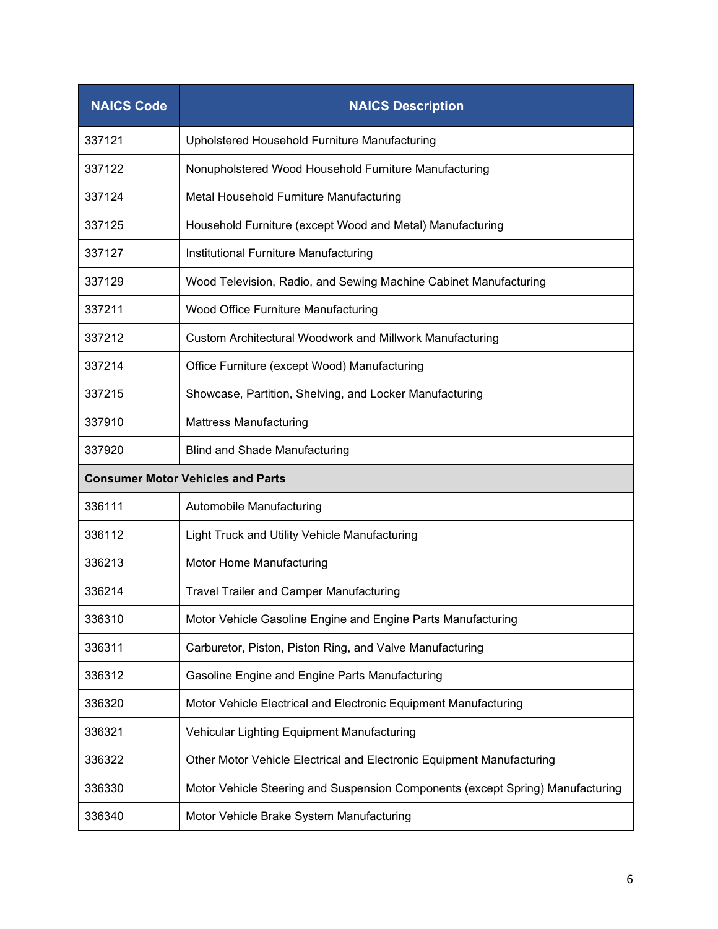| <b>NAICS Code</b>                        | <b>NAICS Description</b>                                                       |
|------------------------------------------|--------------------------------------------------------------------------------|
| 337121                                   | Upholstered Household Furniture Manufacturing                                  |
| 337122                                   | Nonupholstered Wood Household Furniture Manufacturing                          |
| 337124                                   | Metal Household Furniture Manufacturing                                        |
| 337125                                   | Household Furniture (except Wood and Metal) Manufacturing                      |
| 337127                                   | Institutional Furniture Manufacturing                                          |
| 337129                                   | Wood Television, Radio, and Sewing Machine Cabinet Manufacturing               |
| 337211                                   | Wood Office Furniture Manufacturing                                            |
| 337212                                   | <b>Custom Architectural Woodwork and Millwork Manufacturing</b>                |
| 337214                                   | Office Furniture (except Wood) Manufacturing                                   |
| 337215                                   | Showcase, Partition, Shelving, and Locker Manufacturing                        |
| 337910                                   | <b>Mattress Manufacturing</b>                                                  |
| 337920                                   | <b>Blind and Shade Manufacturing</b>                                           |
| <b>Consumer Motor Vehicles and Parts</b> |                                                                                |
| 336111                                   | Automobile Manufacturing                                                       |
| 336112                                   | Light Truck and Utility Vehicle Manufacturing                                  |
| 336213                                   | Motor Home Manufacturing                                                       |
| 336214                                   | <b>Travel Trailer and Camper Manufacturing</b>                                 |
| 336310                                   | Motor Vehicle Gasoline Engine and Engine Parts Manufacturing                   |
| 336311                                   | Carburetor, Piston, Piston Ring, and Valve Manufacturing                       |
| 336312                                   | Gasoline Engine and Engine Parts Manufacturing                                 |
| 336320                                   | Motor Vehicle Electrical and Electronic Equipment Manufacturing                |
| 336321                                   | Vehicular Lighting Equipment Manufacturing                                     |
| 336322                                   | Other Motor Vehicle Electrical and Electronic Equipment Manufacturing          |
| 336330                                   | Motor Vehicle Steering and Suspension Components (except Spring) Manufacturing |
| 336340                                   | Motor Vehicle Brake System Manufacturing                                       |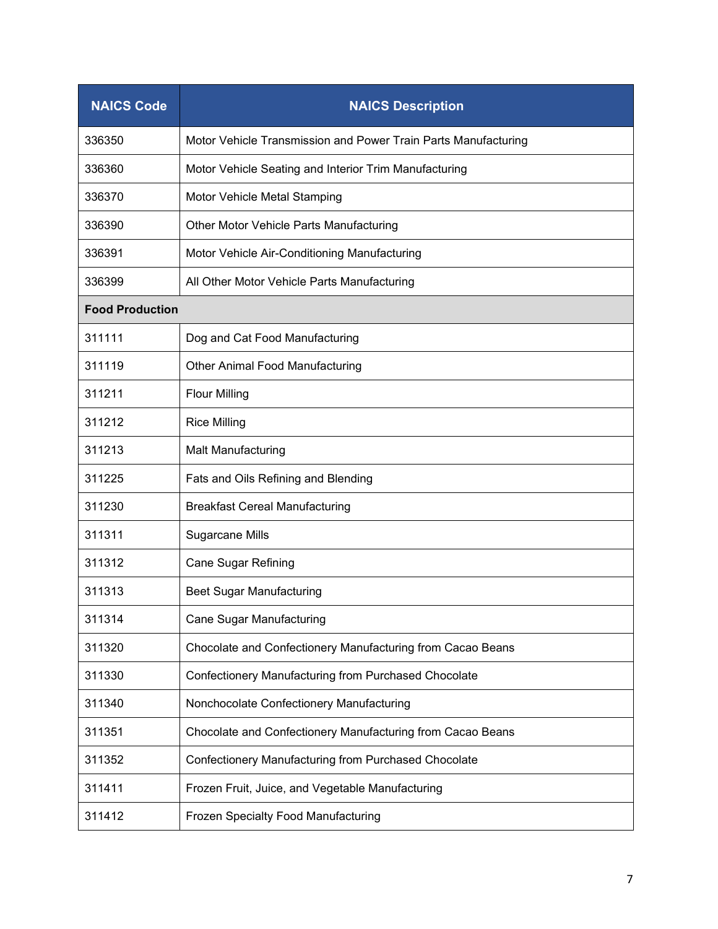| <b>NAICS Code</b>      | <b>NAICS Description</b>                                       |
|------------------------|----------------------------------------------------------------|
| 336350                 | Motor Vehicle Transmission and Power Train Parts Manufacturing |
| 336360                 | Motor Vehicle Seating and Interior Trim Manufacturing          |
| 336370                 | Motor Vehicle Metal Stamping                                   |
| 336390                 | Other Motor Vehicle Parts Manufacturing                        |
| 336391                 | Motor Vehicle Air-Conditioning Manufacturing                   |
| 336399                 | All Other Motor Vehicle Parts Manufacturing                    |
| <b>Food Production</b> |                                                                |
| 311111                 | Dog and Cat Food Manufacturing                                 |
| 311119                 | <b>Other Animal Food Manufacturing</b>                         |
| 311211                 | <b>Flour Milling</b>                                           |
| 311212                 | <b>Rice Milling</b>                                            |
| 311213                 | <b>Malt Manufacturing</b>                                      |
| 311225                 | Fats and Oils Refining and Blending                            |
| 311230                 | <b>Breakfast Cereal Manufacturing</b>                          |
| 311311                 | <b>Sugarcane Mills</b>                                         |
| 311312                 | <b>Cane Sugar Refining</b>                                     |
| 311313                 | <b>Beet Sugar Manufacturing</b>                                |
| 311314                 | <b>Cane Sugar Manufacturing</b>                                |
| 311320                 | Chocolate and Confectionery Manufacturing from Cacao Beans     |
| 311330                 | Confectionery Manufacturing from Purchased Chocolate           |
| 311340                 | Nonchocolate Confectionery Manufacturing                       |
| 311351                 | Chocolate and Confectionery Manufacturing from Cacao Beans     |
| 311352                 | Confectionery Manufacturing from Purchased Chocolate           |
| 311411                 | Frozen Fruit, Juice, and Vegetable Manufacturing               |
| 311412                 | Frozen Specialty Food Manufacturing                            |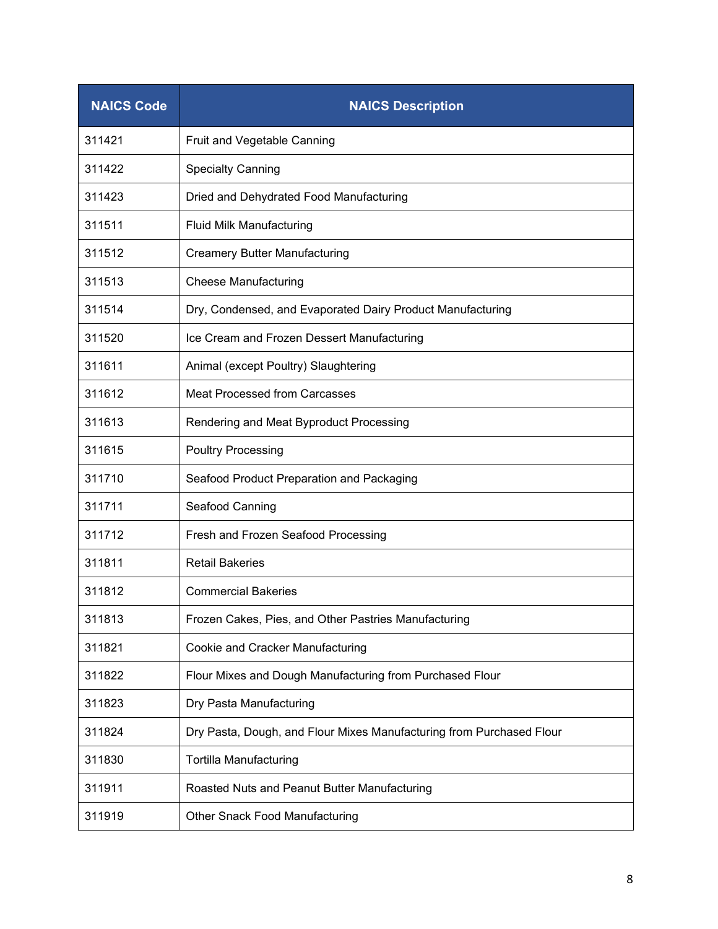| <b>NAICS Code</b> | <b>NAICS Description</b>                                             |
|-------------------|----------------------------------------------------------------------|
| 311421            | Fruit and Vegetable Canning                                          |
| 311422            | <b>Specialty Canning</b>                                             |
| 311423            | Dried and Dehydrated Food Manufacturing                              |
| 311511            | Fluid Milk Manufacturing                                             |
| 311512            | <b>Creamery Butter Manufacturing</b>                                 |
| 311513            | <b>Cheese Manufacturing</b>                                          |
| 311514            | Dry, Condensed, and Evaporated Dairy Product Manufacturing           |
| 311520            | Ice Cream and Frozen Dessert Manufacturing                           |
| 311611            | Animal (except Poultry) Slaughtering                                 |
| 311612            | <b>Meat Processed from Carcasses</b>                                 |
| 311613            | Rendering and Meat Byproduct Processing                              |
| 311615            | <b>Poultry Processing</b>                                            |
| 311710            | Seafood Product Preparation and Packaging                            |
| 311711            | Seafood Canning                                                      |
| 311712            | Fresh and Frozen Seafood Processing                                  |
| 311811            | <b>Retail Bakeries</b>                                               |
| 311812            | <b>Commercial Bakeries</b>                                           |
| 311813            | Frozen Cakes, Pies, and Other Pastries Manufacturing                 |
| 311821            | Cookie and Cracker Manufacturing                                     |
| 311822            | Flour Mixes and Dough Manufacturing from Purchased Flour             |
| 311823            | Dry Pasta Manufacturing                                              |
| 311824            | Dry Pasta, Dough, and Flour Mixes Manufacturing from Purchased Flour |
| 311830            | Tortilla Manufacturing                                               |
| 311911            | Roasted Nuts and Peanut Butter Manufacturing                         |
| 311919            | <b>Other Snack Food Manufacturing</b>                                |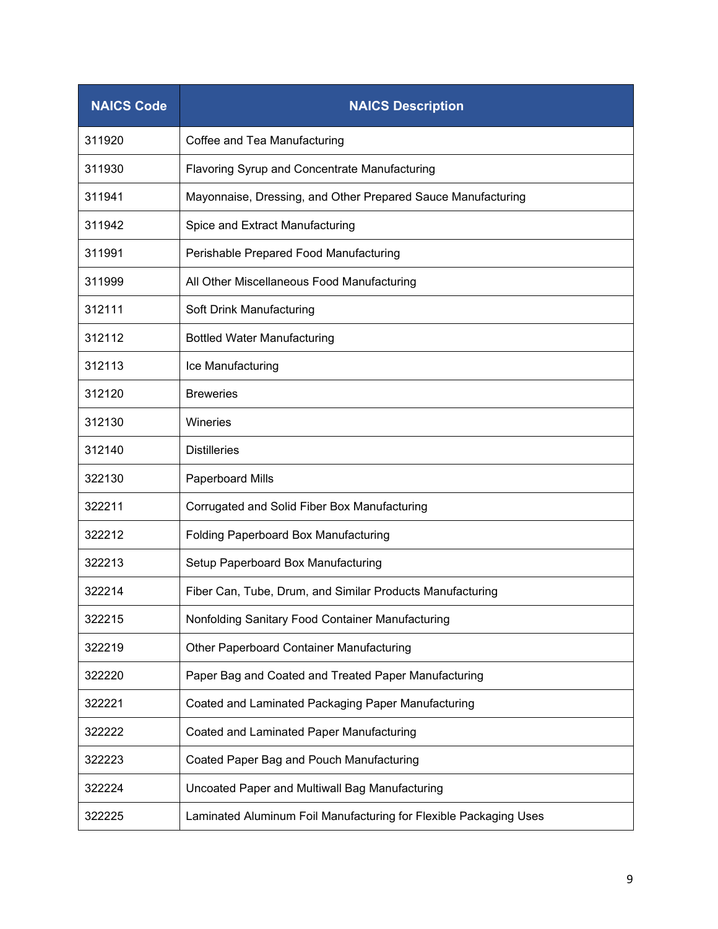| <b>NAICS Code</b> | <b>NAICS Description</b>                                          |
|-------------------|-------------------------------------------------------------------|
| 311920            | Coffee and Tea Manufacturing                                      |
| 311930            | Flavoring Syrup and Concentrate Manufacturing                     |
| 311941            | Mayonnaise, Dressing, and Other Prepared Sauce Manufacturing      |
| 311942            | Spice and Extract Manufacturing                                   |
| 311991            | Perishable Prepared Food Manufacturing                            |
| 311999            | All Other Miscellaneous Food Manufacturing                        |
| 312111            | Soft Drink Manufacturing                                          |
| 312112            | <b>Bottled Water Manufacturing</b>                                |
| 312113            | Ice Manufacturing                                                 |
| 312120            | <b>Breweries</b>                                                  |
| 312130            | Wineries                                                          |
| 312140            | <b>Distilleries</b>                                               |
| 322130            | Paperboard Mills                                                  |
| 322211            | Corrugated and Solid Fiber Box Manufacturing                      |
| 322212            | <b>Folding Paperboard Box Manufacturing</b>                       |
| 322213            | Setup Paperboard Box Manufacturing                                |
| 322214            | Fiber Can, Tube, Drum, and Similar Products Manufacturing         |
| 322215            | Nonfolding Sanitary Food Container Manufacturing                  |
| 322219            | Other Paperboard Container Manufacturing                          |
| 322220            | Paper Bag and Coated and Treated Paper Manufacturing              |
| 322221            | Coated and Laminated Packaging Paper Manufacturing                |
| 322222            | Coated and Laminated Paper Manufacturing                          |
| 322223            | Coated Paper Bag and Pouch Manufacturing                          |
| 322224            | Uncoated Paper and Multiwall Bag Manufacturing                    |
| 322225            | Laminated Aluminum Foil Manufacturing for Flexible Packaging Uses |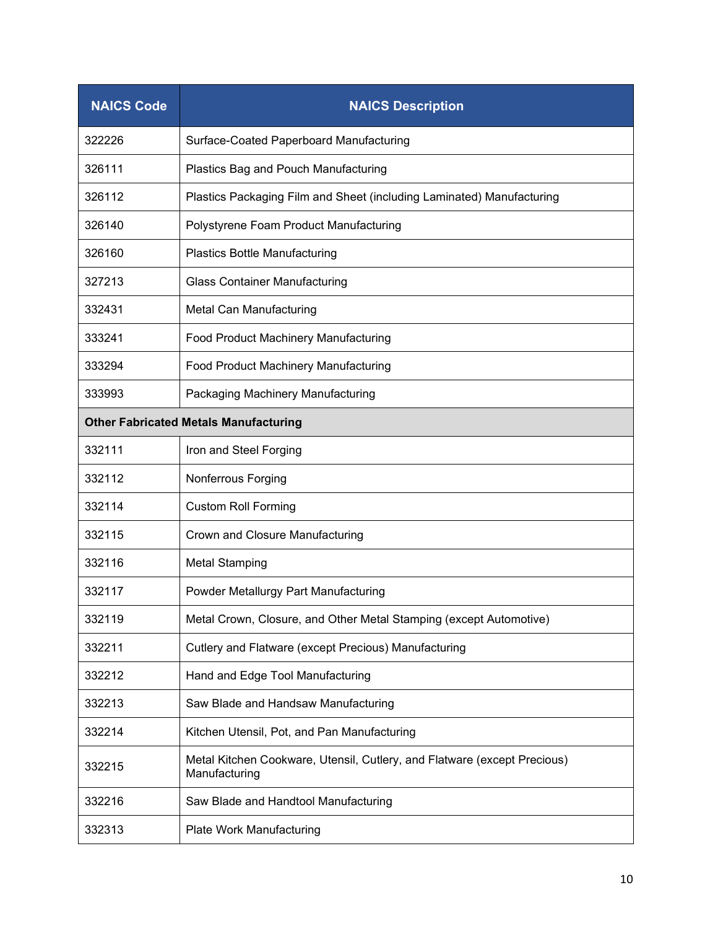| <b>NAICS Code</b>                            | <b>NAICS Description</b>                                                                  |  |
|----------------------------------------------|-------------------------------------------------------------------------------------------|--|
| 322226                                       | Surface-Coated Paperboard Manufacturing                                                   |  |
| 326111                                       | Plastics Bag and Pouch Manufacturing                                                      |  |
| 326112                                       | Plastics Packaging Film and Sheet (including Laminated) Manufacturing                     |  |
| 326140                                       | Polystyrene Foam Product Manufacturing                                                    |  |
| 326160                                       | <b>Plastics Bottle Manufacturing</b>                                                      |  |
| 327213                                       | <b>Glass Container Manufacturing</b>                                                      |  |
| 332431                                       | Metal Can Manufacturing                                                                   |  |
| 333241                                       | Food Product Machinery Manufacturing                                                      |  |
| 333294                                       | Food Product Machinery Manufacturing                                                      |  |
| 333993                                       | Packaging Machinery Manufacturing                                                         |  |
| <b>Other Fabricated Metals Manufacturing</b> |                                                                                           |  |
| 332111                                       | Iron and Steel Forging                                                                    |  |
| 332112                                       | Nonferrous Forging                                                                        |  |
| 332114                                       | <b>Custom Roll Forming</b>                                                                |  |
| 332115                                       | Crown and Closure Manufacturing                                                           |  |
| 332116                                       | <b>Metal Stamping</b>                                                                     |  |
| 332117                                       | Powder Metallurgy Part Manufacturing                                                      |  |
| 332119                                       | Metal Crown, Closure, and Other Metal Stamping (except Automotive)                        |  |
| 332211                                       | Cutlery and Flatware (except Precious) Manufacturing                                      |  |
| 332212                                       | Hand and Edge Tool Manufacturing                                                          |  |
| 332213                                       | Saw Blade and Handsaw Manufacturing                                                       |  |
| 332214                                       | Kitchen Utensil, Pot, and Pan Manufacturing                                               |  |
| 332215                                       | Metal Kitchen Cookware, Utensil, Cutlery, and Flatware (except Precious)<br>Manufacturing |  |
| 332216                                       | Saw Blade and Handtool Manufacturing                                                      |  |
| 332313                                       | Plate Work Manufacturing                                                                  |  |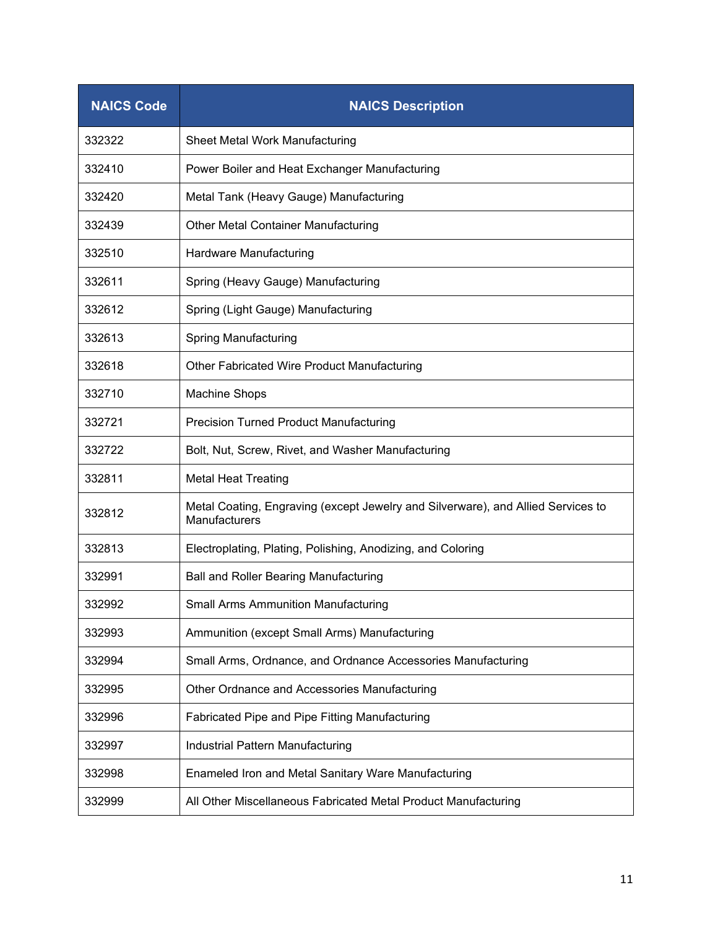| <b>NAICS Code</b> | <b>NAICS Description</b>                                                                          |
|-------------------|---------------------------------------------------------------------------------------------------|
| 332322            | Sheet Metal Work Manufacturing                                                                    |
| 332410            | Power Boiler and Heat Exchanger Manufacturing                                                     |
| 332420            | Metal Tank (Heavy Gauge) Manufacturing                                                            |
| 332439            | Other Metal Container Manufacturing                                                               |
| 332510            | Hardware Manufacturing                                                                            |
| 332611            | Spring (Heavy Gauge) Manufacturing                                                                |
| 332612            | Spring (Light Gauge) Manufacturing                                                                |
| 332613            | <b>Spring Manufacturing</b>                                                                       |
| 332618            | Other Fabricated Wire Product Manufacturing                                                       |
| 332710            | Machine Shops                                                                                     |
| 332721            | <b>Precision Turned Product Manufacturing</b>                                                     |
| 332722            | Bolt, Nut, Screw, Rivet, and Washer Manufacturing                                                 |
| 332811            | <b>Metal Heat Treating</b>                                                                        |
| 332812            | Metal Coating, Engraving (except Jewelry and Silverware), and Allied Services to<br>Manufacturers |
| 332813            | Electroplating, Plating, Polishing, Anodizing, and Coloring                                       |
| 332991            | <b>Ball and Roller Bearing Manufacturing</b>                                                      |
| 332992            | <b>Small Arms Ammunition Manufacturing</b>                                                        |
| 332993            | Ammunition (except Small Arms) Manufacturing                                                      |
| 332994            | Small Arms, Ordnance, and Ordnance Accessories Manufacturing                                      |
| 332995            | Other Ordnance and Accessories Manufacturing                                                      |
| 332996            | Fabricated Pipe and Pipe Fitting Manufacturing                                                    |
| 332997            | Industrial Pattern Manufacturing                                                                  |
| 332998            | Enameled Iron and Metal Sanitary Ware Manufacturing                                               |
| 332999            | All Other Miscellaneous Fabricated Metal Product Manufacturing                                    |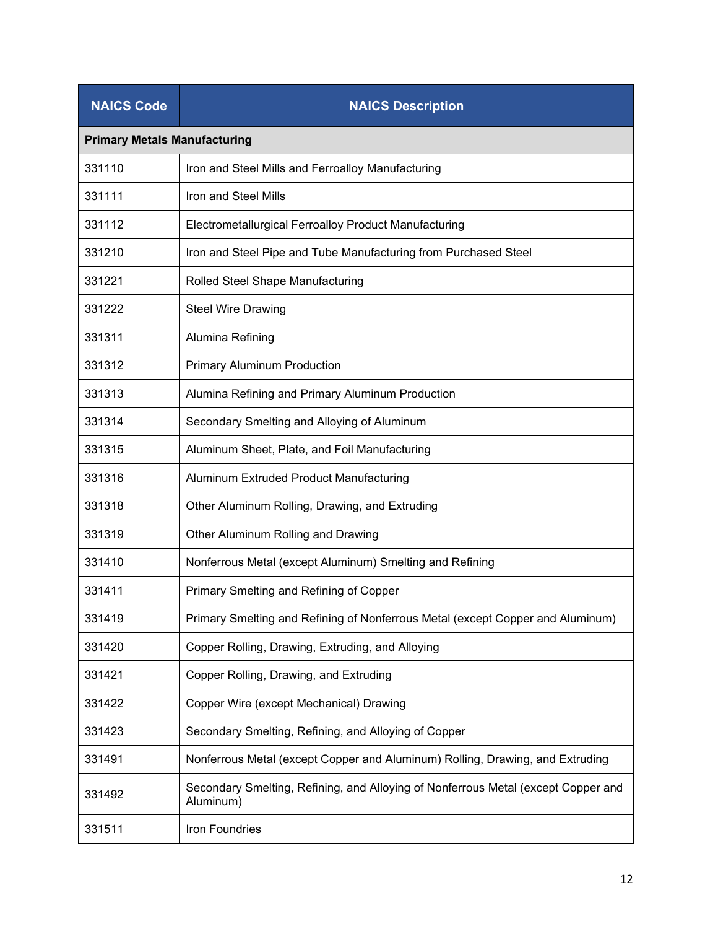| <b>NAICS Code</b>                   | <b>NAICS Description</b>                                                                       |
|-------------------------------------|------------------------------------------------------------------------------------------------|
| <b>Primary Metals Manufacturing</b> |                                                                                                |
| 331110                              | Iron and Steel Mills and Ferroalloy Manufacturing                                              |
| 331111                              | Iron and Steel Mills                                                                           |
| 331112                              | Electrometallurgical Ferroalloy Product Manufacturing                                          |
| 331210                              | Iron and Steel Pipe and Tube Manufacturing from Purchased Steel                                |
| 331221                              | Rolled Steel Shape Manufacturing                                                               |
| 331222                              | <b>Steel Wire Drawing</b>                                                                      |
| 331311                              | Alumina Refining                                                                               |
| 331312                              | <b>Primary Aluminum Production</b>                                                             |
| 331313                              | Alumina Refining and Primary Aluminum Production                                               |
| 331314                              | Secondary Smelting and Alloying of Aluminum                                                    |
| 331315                              | Aluminum Sheet, Plate, and Foil Manufacturing                                                  |
| 331316                              | Aluminum Extruded Product Manufacturing                                                        |
| 331318                              | Other Aluminum Rolling, Drawing, and Extruding                                                 |
| 331319                              | Other Aluminum Rolling and Drawing                                                             |
| 331410                              | Nonferrous Metal (except Aluminum) Smelting and Refining                                       |
| 331411                              | Primary Smelting and Refining of Copper                                                        |
| 331419                              | Primary Smelting and Refining of Nonferrous Metal (except Copper and Aluminum)                 |
| 331420                              | Copper Rolling, Drawing, Extruding, and Alloying                                               |
| 331421                              | Copper Rolling, Drawing, and Extruding                                                         |
| 331422                              | Copper Wire (except Mechanical) Drawing                                                        |
| 331423                              | Secondary Smelting, Refining, and Alloying of Copper                                           |
| 331491                              | Nonferrous Metal (except Copper and Aluminum) Rolling, Drawing, and Extruding                  |
| 331492                              | Secondary Smelting, Refining, and Alloying of Nonferrous Metal (except Copper and<br>Aluminum) |
| 331511                              | Iron Foundries                                                                                 |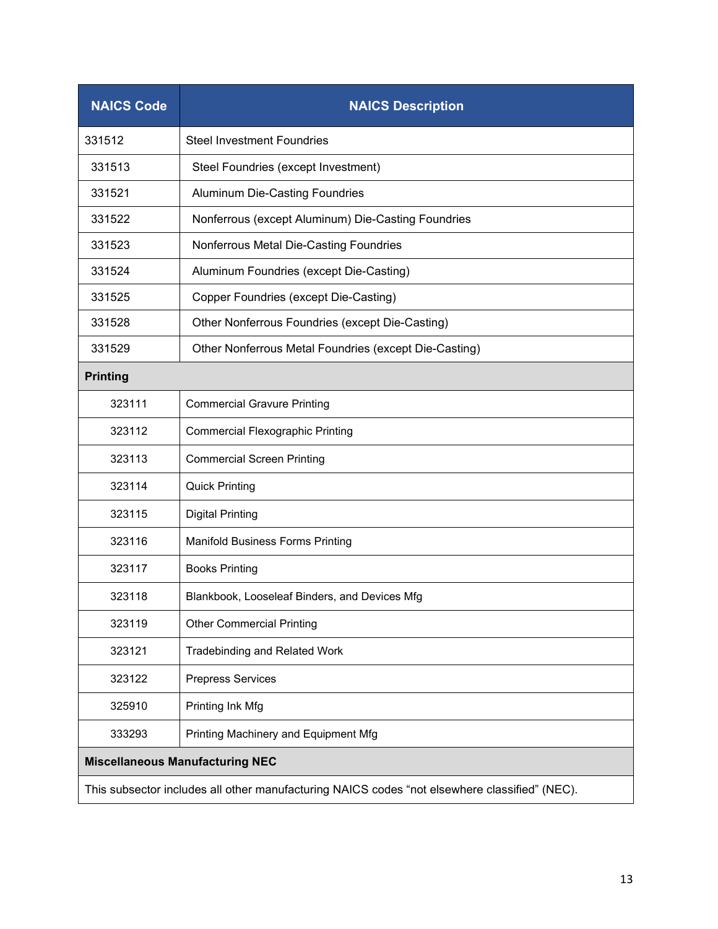| <b>NAICS Code</b>                                                                             | <b>NAICS Description</b>                              |  |
|-----------------------------------------------------------------------------------------------|-------------------------------------------------------|--|
| 331512                                                                                        | <b>Steel Investment Foundries</b>                     |  |
| 331513                                                                                        | Steel Foundries (except Investment)                   |  |
| 331521                                                                                        | <b>Aluminum Die-Casting Foundries</b>                 |  |
| 331522                                                                                        | Nonferrous (except Aluminum) Die-Casting Foundries    |  |
| 331523                                                                                        | Nonferrous Metal Die-Casting Foundries                |  |
| 331524                                                                                        | Aluminum Foundries (except Die-Casting)               |  |
| 331525                                                                                        | Copper Foundries (except Die-Casting)                 |  |
| 331528                                                                                        | Other Nonferrous Foundries (except Die-Casting)       |  |
| 331529                                                                                        | Other Nonferrous Metal Foundries (except Die-Casting) |  |
| <b>Printing</b>                                                                               |                                                       |  |
| 323111                                                                                        | <b>Commercial Gravure Printing</b>                    |  |
| 323112                                                                                        | <b>Commercial Flexographic Printing</b>               |  |
| 323113                                                                                        | <b>Commercial Screen Printing</b>                     |  |
| 323114                                                                                        | <b>Quick Printing</b>                                 |  |
| 323115                                                                                        | <b>Digital Printing</b>                               |  |
| 323116                                                                                        | <b>Manifold Business Forms Printing</b>               |  |
| 323117                                                                                        | <b>Books Printing</b>                                 |  |
| 323118                                                                                        | Blankbook, Looseleaf Binders, and Devices Mfg         |  |
| 323119                                                                                        | <b>Other Commercial Printing</b>                      |  |
| 323121                                                                                        | <b>Tradebinding and Related Work</b>                  |  |
| 323122                                                                                        | <b>Prepress Services</b>                              |  |
| 325910                                                                                        | Printing Ink Mfg                                      |  |
| 333293                                                                                        | Printing Machinery and Equipment Mfg                  |  |
| <b>Miscellaneous Manufacturing NEC</b>                                                        |                                                       |  |
| This subsector includes all other manufacturing NAICS codes "not elsewhere classified" (NEC). |                                                       |  |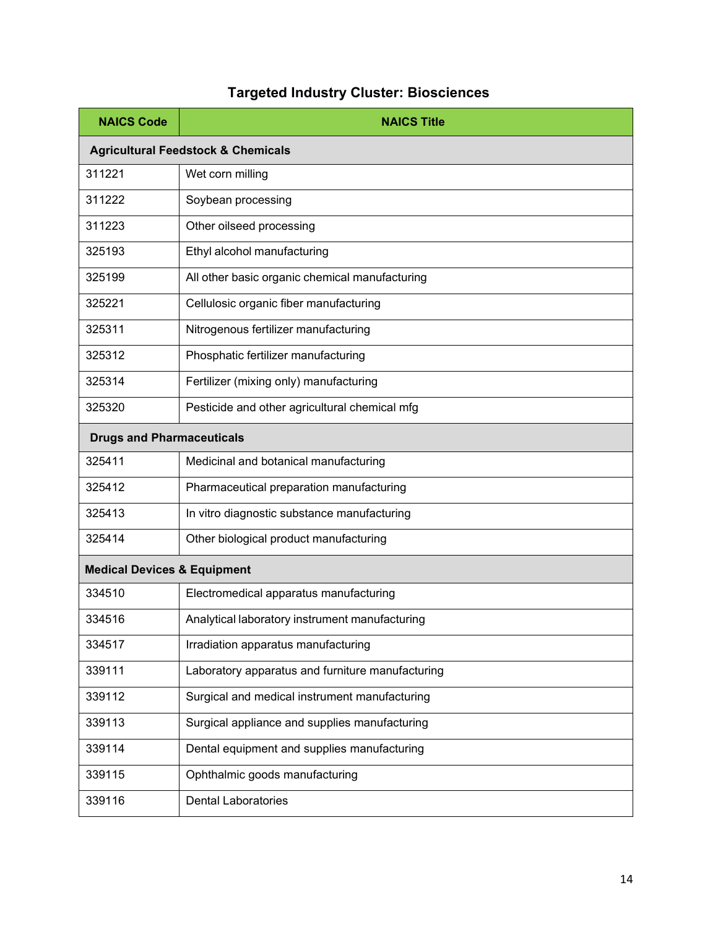## **Targeted Industry Cluster: Biosciences**

| <b>NAICS Code</b>                             | <b>NAICS Title</b>                               |  |
|-----------------------------------------------|--------------------------------------------------|--|
| <b>Agricultural Feedstock &amp; Chemicals</b> |                                                  |  |
| 311221                                        | Wet corn milling                                 |  |
| 311222                                        | Soybean processing                               |  |
| 311223                                        | Other oilseed processing                         |  |
| 325193                                        | Ethyl alcohol manufacturing                      |  |
| 325199                                        | All other basic organic chemical manufacturing   |  |
| 325221                                        | Cellulosic organic fiber manufacturing           |  |
| 325311                                        | Nitrogenous fertilizer manufacturing             |  |
| 325312                                        | Phosphatic fertilizer manufacturing              |  |
| 325314                                        | Fertilizer (mixing only) manufacturing           |  |
| 325320                                        | Pesticide and other agricultural chemical mfg    |  |
| <b>Drugs and Pharmaceuticals</b>              |                                                  |  |
| 325411                                        | Medicinal and botanical manufacturing            |  |
| 325412                                        | Pharmaceutical preparation manufacturing         |  |
| 325413                                        | In vitro diagnostic substance manufacturing      |  |
| 325414                                        | Other biological product manufacturing           |  |
| <b>Medical Devices &amp; Equipment</b>        |                                                  |  |
| 334510                                        | Electromedical apparatus manufacturing           |  |
| 334516                                        | Analytical laboratory instrument manufacturing   |  |
| 334517                                        | Irradiation apparatus manufacturing              |  |
| 339111                                        | Laboratory apparatus and furniture manufacturing |  |
| 339112                                        | Surgical and medical instrument manufacturing    |  |
| 339113                                        | Surgical appliance and supplies manufacturing    |  |
| 339114                                        | Dental equipment and supplies manufacturing      |  |
| 339115                                        | Ophthalmic goods manufacturing                   |  |
| 339116                                        | <b>Dental Laboratories</b>                       |  |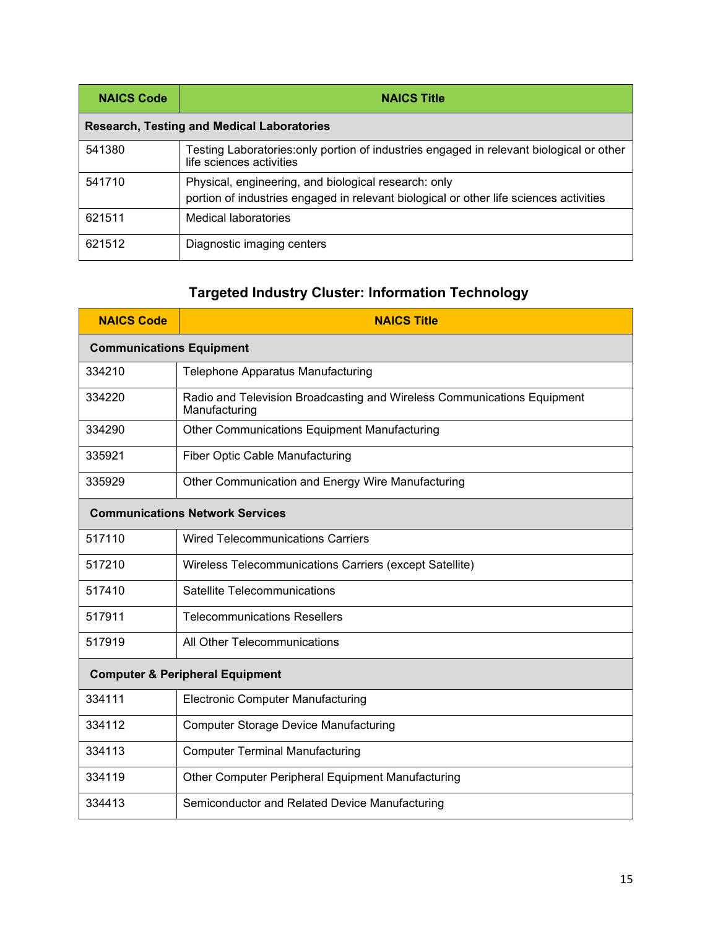| <b>NAICS Code</b>                                 | <b>NAICS Title</b>                                                                                                                             |  |
|---------------------------------------------------|------------------------------------------------------------------------------------------------------------------------------------------------|--|
| <b>Research, Testing and Medical Laboratories</b> |                                                                                                                                                |  |
| 541380                                            | Testing Laboratories: only portion of industries engaged in relevant biological or other<br>life sciences activities                           |  |
| 541710                                            | Physical, engineering, and biological research: only<br>portion of industries engaged in relevant biological or other life sciences activities |  |
| 621511                                            | Medical laboratories                                                                                                                           |  |
| 621512                                            | Diagnostic imaging centers                                                                                                                     |  |

## **Targeted Industry Cluster: Information Technology**

| <b>NAICS Code</b>                          | <b>NAICS Title</b>                                                                       |  |
|--------------------------------------------|------------------------------------------------------------------------------------------|--|
| <b>Communications Equipment</b>            |                                                                                          |  |
| 334210                                     | Telephone Apparatus Manufacturing                                                        |  |
| 334220                                     | Radio and Television Broadcasting and Wireless Communications Equipment<br>Manufacturing |  |
| 334290                                     | <b>Other Communications Equipment Manufacturing</b>                                      |  |
| 335921                                     | <b>Fiber Optic Cable Manufacturing</b>                                                   |  |
| 335929                                     | Other Communication and Energy Wire Manufacturing                                        |  |
| <b>Communications Network Services</b>     |                                                                                          |  |
| 517110                                     | <b>Wired Telecommunications Carriers</b>                                                 |  |
| 517210                                     | Wireless Telecommunications Carriers (except Satellite)                                  |  |
| 517410                                     | Satellite Telecommunications                                                             |  |
| 517911                                     | <b>Telecommunications Resellers</b>                                                      |  |
| 517919                                     | All Other Telecommunications                                                             |  |
| <b>Computer &amp; Peripheral Equipment</b> |                                                                                          |  |
| 334111                                     | <b>Electronic Computer Manufacturing</b>                                                 |  |
| 334112                                     | <b>Computer Storage Device Manufacturing</b>                                             |  |
| 334113                                     | <b>Computer Terminal Manufacturing</b>                                                   |  |
| 334119                                     | Other Computer Peripheral Equipment Manufacturing                                        |  |
| 334413                                     | Semiconductor and Related Device Manufacturing                                           |  |